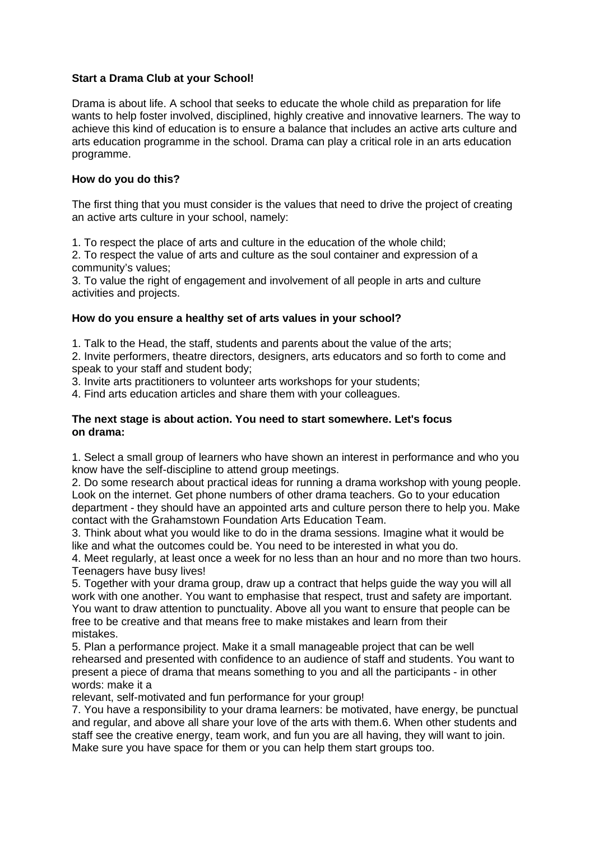## **Start a Drama Club at your School!**

Drama is about life. A school that seeks to educate the whole child as preparation for life wants to help foster involved, disciplined, highly creative and innovative learners. The way to achieve this kind of education is to ensure a balance that includes an active arts culture and arts education programme in the school. Drama can play a critical role in an arts education programme.

## **How do you do this?**

The first thing that you must consider is the values that need to drive the project of creating an active arts culture in your school, namely:

1. To respect the place of arts and culture in the education of the whole child;

2. To respect the value of arts and culture as the soul container and expression of a community's values;

3. To value the right of engagement and involvement of all people in arts and culture activities and projects.

## **How do you ensure a healthy set of arts values in your school?**

1. Talk to the Head, the staff, students and parents about the value of the arts;

2. Invite performers, theatre directors, designers, arts educators and so forth to come and speak to your staff and student body;

3. Invite arts practitioners to volunteer arts workshops for your students;

4. Find arts education articles and share them with your colleagues.

## **The next stage is about action. You need to start somewhere. Let's focus on drama:**

1. Select a small group of learners who have shown an interest in performance and who you know have the self-discipline to attend group meetings.

2. Do some research about practical ideas for running a drama workshop with young people. Look on the internet. Get phone numbers of other drama teachers. Go to your education department - they should have an appointed arts and culture person there to help you. Make contact with the Grahamstown Foundation Arts Education Team.

3. Think about what you would like to do in the drama sessions. Imagine what it would be like and what the outcomes could be. You need to be interested in what you do.

4. Meet regularly, at least once a week for no less than an hour and no more than two hours. Teenagers have busy lives!

5. Together with your drama group, draw up a contract that helps guide the way you will all work with one another. You want to emphasise that respect, trust and safety are important. You want to draw attention to punctuality. Above all you want to ensure that people can be free to be creative and that means free to make mistakes and learn from their mistakes.

5. Plan a performance project. Make it a small manageable project that can be well rehearsed and presented with confidence to an audience of staff and students. You want to present a piece of drama that means something to you and all the participants - in other words: make it a

relevant, self-motivated and fun performance for your group!

7. You have a responsibility to your drama learners: be motivated, have energy, be punctual and regular, and above all share your love of the arts with them.6. When other students and staff see the creative energy, team work, and fun you are all having, they will want to join. Make sure you have space for them or you can help them start groups too.